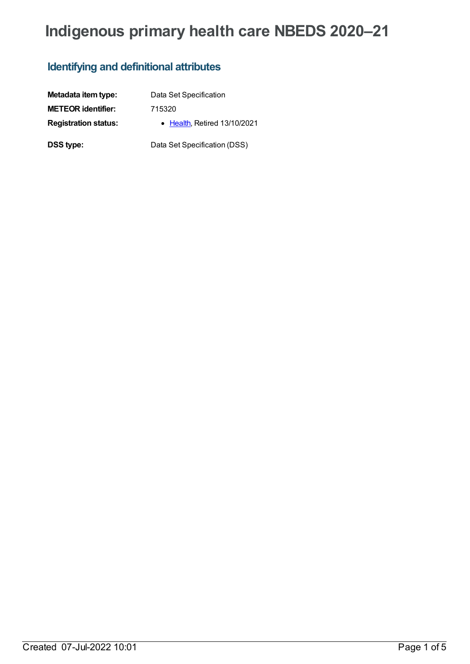# **Indigenous primary health care NBEDS 2020–21**

## **Identifying and definitional attributes**

| Metadata item type:         | Data Set Specification       |
|-----------------------------|------------------------------|
| <b>METEOR identifier:</b>   | 715320                       |
| <b>Registration status:</b> | • Health, Retired 13/10/2021 |
| <b>DSS type:</b>            | Data Set Specification (DSS) |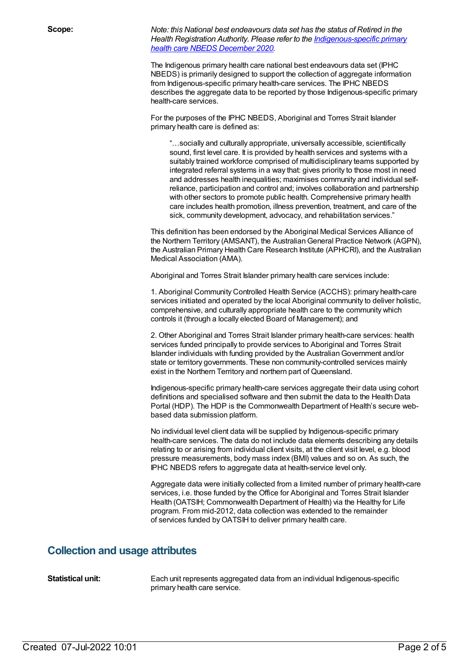**Scope:** *Note: this National best endeavours data set has the status of Retired in the Health Registration Authority. Please refer to the [Indigenous-specific](file:///content/738532) primary health care NBEDS December 2020.*

> The Indigenous primary health care national best endeavours data set (IPHC NBEDS) is primarily designed to support the collection of aggregate information from Indigenous-specific primary health-care services. The IPHC NBEDS describes the aggregate data to be reported by those Indigenous-specific primary health-care services.

For the purposes of the IPHC NBEDS, Aboriginal and Torres Strait Islander primary health care is defined as:

"…socially and culturally appropriate, universally accessible, scientifically sound, first level care. It is provided by health services and systems with a suitably trained workforce comprised of multidisciplinary teams supported by integrated referral systems in a way that: gives priority to those most in need and addresses health inequalities; maximises community and individual selfreliance, participation and control and; involves collaboration and partnership with other sectors to promote public health. Comprehensive primary health care includes health promotion, illness prevention, treatment, and care of the sick, community development, advocacy, and rehabilitation services."

This definition has been endorsed by the Aboriginal Medical Services Alliance of the Northern Territory (AMSANT), the AustralianGeneral Practice Network (AGPN), the Australian Primary Health Care Research Institute (APHCRI), and the Australian Medical Association (AMA).

Aboriginal and Torres Strait Islander primary health care services include:

1. Aboriginal Community Controlled Health Service (ACCHS): primary health-care services initiated and operated by the local Aboriginal community to deliver holistic, comprehensive, and culturally appropriate health care to the community which controls it (through a locally elected Board of Management); and

2. Other Aboriginal and Torres Strait Islander primary health-care services: health services funded principally to provide services to Aboriginal and Torres Strait Islander individuals with funding provided by the AustralianGovernment and/or state or territory governments. These non community-controlled services mainly exist in the Northern Territory and northern part of Queensland.

Indigenous-specific primary health-care services aggregate their data using cohort definitions and specialised software and then submit the data to the Health Data Portal (HDP). The HDP is the Commonwealth Department of Health's secure webbased data submission platform.

No individual level client data will be supplied by Indigenous-specific primary health-care services. The data do not include data elements describing any details relating to or arising from individual client visits, at the client visit level, e.g. blood pressure measurements, body mass index (BMI) values and so on. As such, the IPHC NBEDS refers to aggregate data at health-service level only.

Aggregate data were initially collected from a limited number of primary health-care services, i.e. those funded by the Office for Aboriginal and Torres Strait Islander Health (OATSIH; Commonwealth Department of Health) via the Healthy for Life program. From mid-2012, data collection was extended to the remainder of services funded by OATSIH to deliver primary health care.

#### **Collection and usage attributes**

**Statistical unit:** Each unit represents aggregated data from an individual Indigenous-specific primary health care service.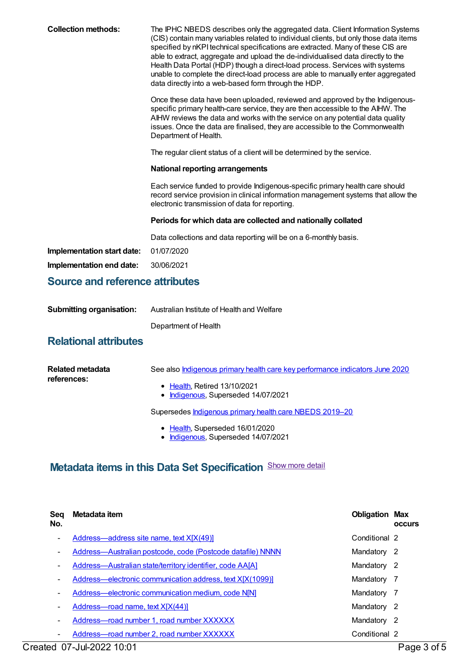| <b>Collection methods:</b>             | The IPHC NBEDS describes only the aggregated data. Client Information Systems<br>(CIS) contain many variables related to individual clients, but only those data items<br>specified by nKPI technical specifications are extracted. Many of these CIS are<br>able to extract, aggregate and upload the de-individualised data directly to the<br>Health Data Portal (HDP) though a direct-load process. Services with systems<br>unable to complete the direct-load process are able to manually enter aggregated<br>data directly into a web-based form through the HDP. |  |  |
|----------------------------------------|---------------------------------------------------------------------------------------------------------------------------------------------------------------------------------------------------------------------------------------------------------------------------------------------------------------------------------------------------------------------------------------------------------------------------------------------------------------------------------------------------------------------------------------------------------------------------|--|--|
|                                        | Once these data have been uploaded, reviewed and approved by the Indigenous-<br>specific primary health-care service, they are then accessible to the AIHW. The<br>AIHW reviews the data and works with the service on any potential data quality<br>issues. Once the data are finalised, they are accessible to the Commonwealth<br>Department of Health.                                                                                                                                                                                                                |  |  |
|                                        | The regular client status of a client will be determined by the service.                                                                                                                                                                                                                                                                                                                                                                                                                                                                                                  |  |  |
|                                        | <b>National reporting arrangements</b>                                                                                                                                                                                                                                                                                                                                                                                                                                                                                                                                    |  |  |
|                                        | Each service funded to provide Indigenous-specific primary health care should<br>record service provision in clinical information management systems that allow the<br>electronic transmission of data for reporting.                                                                                                                                                                                                                                                                                                                                                     |  |  |
|                                        | Periods for which data are collected and nationally collated                                                                                                                                                                                                                                                                                                                                                                                                                                                                                                              |  |  |
|                                        | Data collections and data reporting will be on a 6-monthly basis.                                                                                                                                                                                                                                                                                                                                                                                                                                                                                                         |  |  |
| Implementation start date:             | 01/07/2020                                                                                                                                                                                                                                                                                                                                                                                                                                                                                                                                                                |  |  |
| Implementation end date:               | 30/06/2021                                                                                                                                                                                                                                                                                                                                                                                                                                                                                                                                                                |  |  |
| <b>Source and reference attributes</b> |                                                                                                                                                                                                                                                                                                                                                                                                                                                                                                                                                                           |  |  |

| <b>Submitting organisation:</b> | Australian Institute of Health and Welfare |
|---------------------------------|--------------------------------------------|
|                                 | Department of Health                       |

### **Relational attributes**

| Related metadata<br>references: | See also Indigenous primary health care key performance indicators June 2020 |
|---------------------------------|------------------------------------------------------------------------------|
|                                 | $\bullet$ Health. Retired 13/10/2021<br>• Indigenous, Superseded 14/07/2021  |
|                                 | Supersedes <b>Indigenous primary health care NBEDS 2019-20</b>               |
|                                 | $\blacksquare$ Hooth Cuncroaded 16/01/2020                                   |

• [Health](https://meteor.aihw.gov.au/RegistrationAuthority/12), Superseded 16/01/2020 • [Indigenous](https://meteor.aihw.gov.au/RegistrationAuthority/6), Superseded 14/07/2021

## **Metadata items in this Data Set Specification** Show more detail

| Sea<br>No.               | Metadata item                                                    | <b>Obligation Max</b> | <b>OCCUIS</b> |
|--------------------------|------------------------------------------------------------------|-----------------------|---------------|
| ٠                        | Address-address site name, text X[X(49)]                         | Conditional 2         |               |
| ٠                        | Address—Australian postcode, code (Postcode datafile) NNNN       | Mandatory             | -2            |
| ٠                        | <b>Address—Australian state/territory identifier, code AA[A]</b> | Mandatory             | -2            |
| ٠                        | Address-electronic communication address, text X[X(1099)]        | Mandatory             | -7            |
| $\overline{\phantom{a}}$ | Address-electronic communication medium, code N[N]               | Mandatory             | -7            |
| ۰                        | Address—road name, text X[X(44)]                                 | Mandatory             | -2            |
|                          | Address-road number 1, road number XXXXXX                        | Mandatory             | -2            |
|                          | Address-road number 2, road number XXXXXX                        | Conditional 2         |               |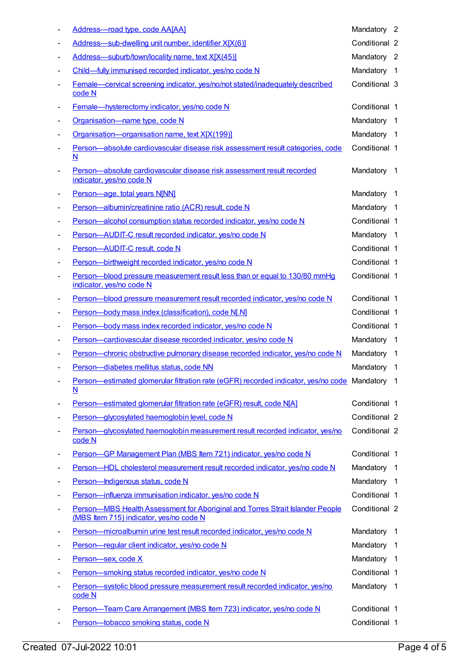|                          | Address-road type, code AA[AA]                                                                                           | Mandatory 2   |                         |
|--------------------------|--------------------------------------------------------------------------------------------------------------------------|---------------|-------------------------|
|                          | Address-sub-dwelling unit number, identifier X[X(6)]                                                                     | Conditional 2 |                         |
| $\overline{\phantom{a}}$ | Address-suburb/town/locality name, text X[X(45)]                                                                         | Mandatory 2   |                         |
| $\overline{\phantom{a}}$ | Child-fully immunised recorded indicator, yes/no code N                                                                  | Mandatory     | $\overline{1}$          |
|                          | Female-cervical screening indicator, yes/no/not stated/inadequately described<br>code N                                  | Conditional 3 |                         |
|                          | Female-hysterectomy indicator, yes/no code N                                                                             | Conditional 1 |                         |
| $\overline{\phantom{a}}$ | Organisation-name type, code N                                                                                           | Mandatory     | - 1                     |
| $\overline{\phantom{a}}$ | Organisation-organisation name, text X[X(199)]                                                                           | Mandatory     | - 1                     |
| $\overline{\phantom{a}}$ | Person-absolute cardiovascular disease risk assessment result categories, code<br>N                                      | Conditional 1 |                         |
| $\overline{\phantom{a}}$ | Person-absolute cardiovascular disease risk assessment result recorded<br>indicator, yes/no code N                       | Mandatory     | - 1                     |
| $\overline{\phantom{a}}$ | Person-age, total years N[NN]                                                                                            | Mandatory     | - 1                     |
|                          | Person-albumin/creatinine ratio (ACR) result, code N                                                                     | Mandatory 1   |                         |
| $\overline{\phantom{a}}$ | Person-alcohol consumption status recorded indicator, yes/no code N                                                      | Conditional 1 |                         |
| $\overline{\phantom{a}}$ | Person-AUDIT-C result recorded indicator, yes/no code N                                                                  | Mandatory 1   |                         |
| $\overline{\phantom{a}}$ | Person-AUDIT-C result, code N                                                                                            | Conditional 1 |                         |
| $\overline{\phantom{a}}$ | Person-birthweight recorded indicator, yes/no code N                                                                     | Conditional 1 |                         |
| $\overline{\phantom{a}}$ | Person-blood pressure measurement result less than or equal to 130/80 mmHg<br>indicator, yes/no code N                   | Conditional 1 |                         |
| $\overline{a}$           | Person-blood pressure measurement result recorded indicator, yes/no code N                                               | Conditional 1 |                         |
|                          | Person-body mass index (classification), code N[.N]                                                                      | Conditional 1 |                         |
| $\overline{\phantom{a}}$ | Person-body mass index recorded indicator, yes/no code N                                                                 | Conditional 1 |                         |
|                          | Person-cardiovascular disease recorded indicator, yes/no code N                                                          | Mandatory 1   |                         |
|                          | Person-chronic obstructive pulmonary disease recorded indicator, yes/no code N                                           | Mandatory 1   |                         |
|                          | Person-diabetes mellitus status, code NN                                                                                 | Mandatory     | $\overline{\mathbf{1}}$ |
|                          | Person—estimated glomerular filtration rate (eGFR) recorded indicator, yes/no code Mandatory 1<br>N                      |               |                         |
| $\overline{\phantom{a}}$ | Person-estimated glomerular filtration rate (eGFR) result, code N[A]                                                     | Conditional 1 |                         |
| $\overline{\phantom{a}}$ | Person-glycosylated haemoglobin level, code N                                                                            | Conditional 2 |                         |
|                          | Person-glycosylated haemoglobin measurement result recorded indicator, yes/no<br>code N                                  | Conditional 2 |                         |
| $\overline{\phantom{a}}$ | Person-GP Management Plan (MBS Item 721) indicator, yes/no code N                                                        | Conditional 1 |                         |
|                          | Person-HDL cholesterol measurement result recorded indicator, yes/no code N                                              | Mandatory 1   |                         |
|                          | Person-Indigenous status, code N                                                                                         | Mandatory 1   |                         |
| $\overline{\phantom{a}}$ | Person-influenza immunisation indicator, yes/no code N                                                                   | Conditional 1 |                         |
| $\overline{\phantom{a}}$ | Person-MBS Health Assessment for Aboriginal and Torres Strait Islander People<br>(MBS Item 715) indicator, yes/no code N | Conditional 2 |                         |
| $\overline{\phantom{a}}$ | Person-microalbumin urine test result recorded indicator, yes/no code N                                                  | Mandatory     | -1                      |
| $\overline{a}$           | Person-regular client indicator, yes/no code N                                                                           | Mandatory     | - 1                     |
| $\overline{a}$           | Person-sex, code X                                                                                                       | Mandatory     | $\overline{1}$          |
|                          | Person-smoking status recorded indicator, yes/no code N                                                                  | Conditional 1 |                         |
| $\overline{\phantom{0}}$ | Person-systolic blood pressure measurement result recorded indicator, yes/no<br>code N                                   | Mandatory     | $\overline{1}$          |
|                          | Person-Team Care Arrangement (MBS Item 723) indicator, yes/no code N                                                     | Conditional 1 |                         |
|                          | Person-tobacco smoking status, code N                                                                                    | Conditional 1 |                         |